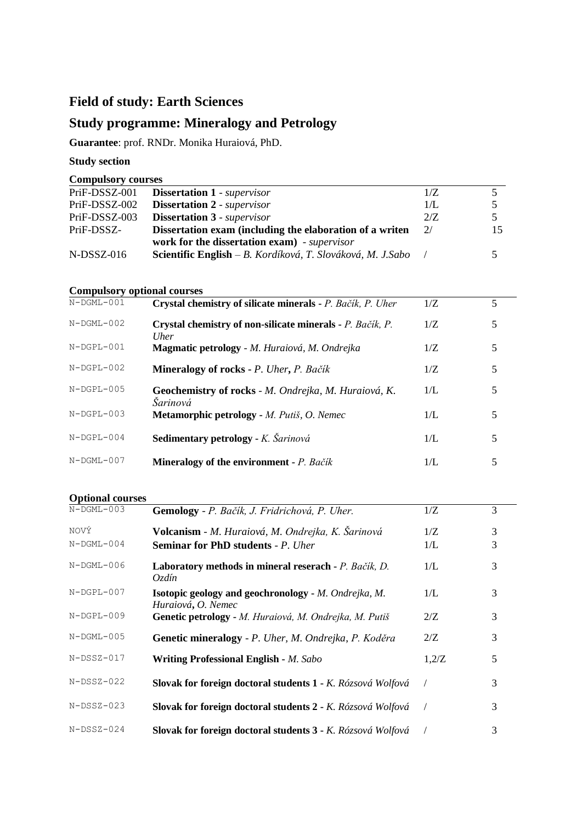# **Field of study: Earth Sciences**

# **Study programme: Mineralogy and Petrology**

**Guarantee**: prof. RNDr. Monika Huraiová, PhD.

### **Study section**

**Compulsory courses**

| PriF-DSSZ-001 | <b>Dissertation 1</b> - supervisor                         | 1/Z |  |
|---------------|------------------------------------------------------------|-----|--|
| PriF-DSSZ-002 | <b>Dissertation 2</b> - supervisor                         | 1/L |  |
| PriF-DSSZ-003 | <b>Dissertation 3</b> - supervisor                         | 2/Z |  |
| PriF-DSSZ-    | Dissertation exam (including the elaboration of a writen   | 2/  |  |
|               | work for the dissertation exam) - supervisor               |     |  |
| $N-DSSZ-016$  | Scientific English – B. Kordíková, T. Slováková, M. J.Sabo |     |  |

## **Compulsory optional courses**

| $N-$ DGML $-001$  | Crystal chemistry of silicate minerals - P. Bačík, P. Uher        | 1/Z | 5 |
|-------------------|-------------------------------------------------------------------|-----|---|
| $N-$ DGML $-0.02$ | Crystal chemistry of non-silicate minerals - P. Bačík, P.<br>Uher | 1/Z | 5 |
| $N-DGPL-001$      | Magmatic petrology - M. Huraiová, M. Ondrejka                     | 1/Z | 5 |
| $N-$ DGPL-002     | <b>Mineralogy of rocks - P. Uher, P. Bačík</b>                    | 1/Z | 5 |
| $N-$ DGPL-005     | Geochemistry of rocks - M. Ondrejka, M. Huraiová, K.<br>Šarinová  | 1/L | 5 |
| $N-DGPL-003$      | Metamorphic petrology - M. Putiš, O. Nemec                        | 1/L | 5 |
| $N-DGPL-004$      | Sedimentary petrology - K. Šarinová                               | 1/L | 5 |
| $N-$ DGML $-$ 007 | <b>Mineralogy of the environment</b> $\textbf{-} P$ . Bačík       | 1/L | 5 |

#### **Optional courses**

| $N-$ DGML $-003$         | Gemology - P. Bačík, J. Fridrichová, P. Uher.                                                  | 1/Z        | 3      |
|--------------------------|------------------------------------------------------------------------------------------------|------------|--------|
| NOVÝ<br>$N-$ DGML $-004$ | Volcanism - M. Huraiová, M. Ondrejka, K. Šarinová<br><b>Seminar for PhD students - P. Uher</b> | 1/Z<br>1/L | 3<br>3 |
| $N-$ DGML $-006$         | Laboratory methods in mineral reserach - P. Bačík, D.<br>Ozdín                                 | 1/L        | 3      |
| $N-$ DGPL-007            | <b>Isotopic geology and geochronology</b> - <i>M. Ondrejka, M.</i><br>Huraiová, O. Nemec       | 1/L        | 3      |
| $N-$ DGPL-009            | Genetic petrology - M. Huraiová, M. Ondrejka, M. Putiš                                         | 2/Z        | 3      |
| $N-$ DGML $-005$         | Genetic mineralogy - P. Uher, M. Ondrejka, P. Koděra                                           | 2/Z        | 3      |
| $N-DSSZ-017$             | Writing Professional English - M. Sabo                                                         | 1,2/Z      | 5      |
| $N-DSSZ-022$             | Slovak for foreign doctoral students 1 - K. Rózsová Wolfová                                    |            | 3      |
| $N-DSSZ-023$             | Slovak for foreign doctoral students 2 - K. Rózsová Wolfová                                    |            | 3      |
| $N-DSSZ-024$             | Slovak for foreign doctoral students 3 - K. Rózsová Wolfová                                    |            | 3      |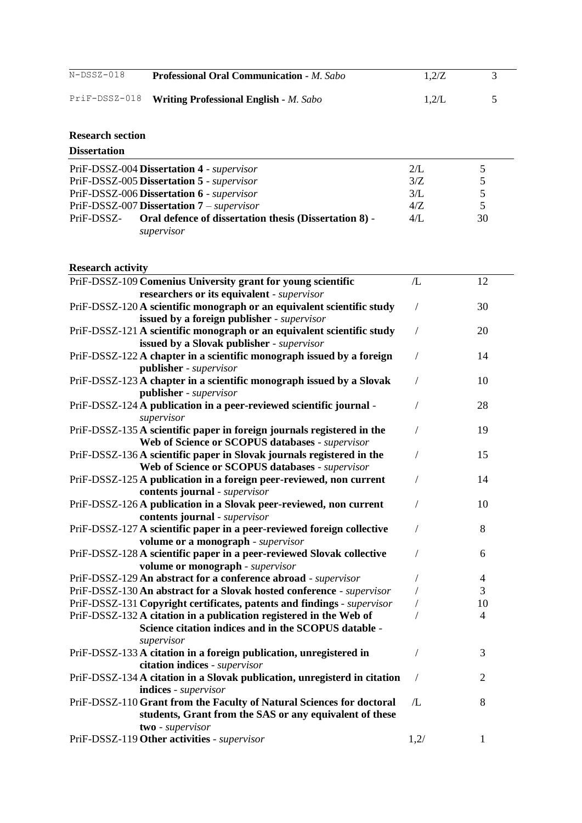| N-DSSZ-018 | <b>Professional Oral Communication - M. Sabo</b>     | 1.2/Z |  |
|------------|------------------------------------------------------|-------|--|
|            | PriF-DSSZ-018 Writing Professional English - M. Sabo | 1.2/L |  |

### **Research section**

| <b>Dissertation</b>                                                                |              |    |
|------------------------------------------------------------------------------------|--------------|----|
| PriF-DSSZ-004 Dissertation 4 - supervisor                                          | 2/L          | 5  |
| PriF-DSSZ-005 Dissertation 5 - supervisor                                          | 3/Z          | 5  |
| PriF-DSSZ-006 Dissertation 6 - supervisor                                          | 3/L          | 5  |
| PriF-DSSZ-007 Dissertation 7 - supervisor                                          | 4/Z          | 5  |
| Oral defence of dissertation thesis (Dissertation 8) -<br>PriF-DSSZ-<br>supervisor | $4/\Gamma$ . | 30 |

#### **Research activity**

| RESCALUI AUUVILY                                                                                                                        |                 |                |
|-----------------------------------------------------------------------------------------------------------------------------------------|-----------------|----------------|
| PriF-DSSZ-109 Comenius University grant for young scientific                                                                            | /L              | 12             |
| researchers or its equivalent - supervisor                                                                                              |                 |                |
| PriF-DSSZ-120 A scientific monograph or an equivalent scientific study                                                                  | $\overline{1}$  | 30             |
| issued by a foreign publisher - supervisor                                                                                              |                 |                |
| PriF-DSSZ-121 A scientific monograph or an equivalent scientific study                                                                  | $\sqrt{2}$      | 20             |
| issued by a Slovak publisher - supervisor                                                                                               |                 |                |
| PriF-DSSZ-122 A chapter in a scientific monograph issued by a foreign                                                                   | $\sqrt{2}$      | 14             |
| publisher - supervisor                                                                                                                  |                 |                |
| PriF-DSSZ-123 A chapter in a scientific monograph issued by a Slovak                                                                    | $\sqrt{2}$      | 10             |
| publisher - supervisor                                                                                                                  |                 |                |
| PriF-DSSZ-124 A publication in a peer-reviewed scientific journal -                                                                     | 7               | 28             |
| supervisor                                                                                                                              |                 |                |
| PriF-DSSZ-135 A scientific paper in foreign journals registered in the                                                                  | $\sqrt{2}$      | 19             |
| Web of Science or SCOPUS databases - supervisor                                                                                         |                 |                |
| PriF-DSSZ-136 A scientific paper in Slovak journals registered in the                                                                   | $\sqrt{2}$      | 15             |
| Web of Science or SCOPUS databases - supervisor                                                                                         |                 |                |
| PriF-DSSZ-125 A publication in a foreign peer-reviewed, non current                                                                     | $\sqrt{2}$      | 14             |
| contents journal - supervisor                                                                                                           |                 |                |
| PriF-DSSZ-126A publication in a Slovak peer-reviewed, non current                                                                       | 7               | 10             |
| contents journal - supervisor                                                                                                           |                 |                |
| PriF-DSSZ-127 A scientific paper in a peer-reviewed foreign collective                                                                  | $\sqrt{2}$      | 8              |
| volume or a monograph - supervisor<br>PriF-DSSZ-128 A scientific paper in a peer-reviewed Slovak collective                             | $\overline{1}$  | 6              |
| volume or monograph - supervisor                                                                                                        |                 |                |
|                                                                                                                                         |                 | $\overline{4}$ |
| PriF-DSSZ-129 An abstract for a conference abroad - supervisor<br>PriF-DSSZ-130 An abstract for a Slovak hosted conference - supervisor | Т<br>$\sqrt{2}$ | 3              |
| PriF-DSSZ-131 Copyright certificates, patents and findings - supervisor                                                                 | $\sqrt{2}$      | 10             |
| PriF-DSSZ-132 A citation in a publication registered in the Web of                                                                      |                 | $\overline{4}$ |
| Science citation indices and in the SCOPUS datable -                                                                                    |                 |                |
| supervisor                                                                                                                              |                 |                |
| PriF-DSSZ-133 A citation in a foreign publication, unregistered in                                                                      | $\sqrt{2}$      | 3              |
| citation indices - supervisor                                                                                                           |                 |                |
| PriF-DSSZ-134 A citation in a Slovak publication, unregisterd in citation                                                               | $\sqrt{2}$      | $\overline{2}$ |
| indices - supervisor                                                                                                                    |                 |                |
| PriF-DSSZ-110 Grant from the Faculty of Natural Sciences for doctoral                                                                   | /L              | 8              |
| students, Grant from the SAS or any equivalent of these                                                                                 |                 |                |
| two - supervisor                                                                                                                        |                 |                |
| PriF-DSSZ-119 Other activities - supervisor                                                                                             | 1,2/            | 1              |
|                                                                                                                                         |                 |                |